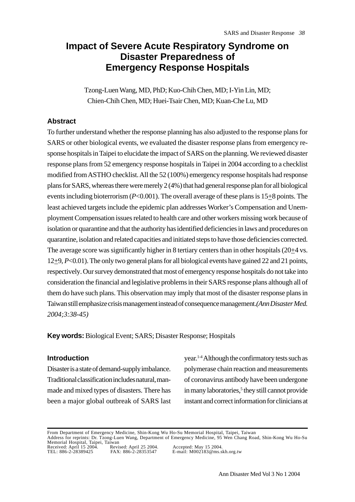# **Impact of Severe Acute Respiratory Syndrome on Disaster Preparedness of Emergency Response Hospitals**

Tzong-Luen Wang, MD, PhD; Kuo-Chih Chen, MD; I-Yin Lin, MD; Chien-Chih Chen, MD; Huei-Tsair Chen, MD; Kuan-Che Lu, MD

### **Abstract**

To further understand whether the response planning has also adjusted to the response plans for SARS or other biological events, we evaluated the disaster response plans from emergency response hospitals in Taipei to elucidate the impact of SARS on the planning. We reviewed disaster response plans from 52 emergency response hospitals in Taipei in 2004 according to a checklist modified from ASTHO checklist. All the 52 (100%) emergency response hospitals had response plans for SARS, whereas there were merely 2 (4%) that had general response plan for all biological events including bioterrorism ( $P<0.001$ ). The overall average of these plans is  $15\pm8$  points. The least achieved targets include the epidemic plan addresses Worker's Compensation and Unemployment Compensation issues related to health care and other workers missing work because of isolation or quarantine and that the authority has identified deficiencies in laws and procedures on quarantine, isolation and related capacities and initiated steps to have those deficiencies corrected. The average score was significantly higher in 8 tertiary centers than in other hospitals  $(20\pm 4 \text{ vs.})$ 12+9, *P*<0.01). The only two general plans for all biological events have gained 22 and 21 points, respectively. Our survey demonstrated that most of emergency response hospitals do not take into consideration the financial and legislative problems in their SARS response plans although all of them do have such plans. This observation may imply that most of the disaster response plans in Taiwan still emphasize crisis management instead of consequence management.*(Ann Disaster Med. 2004;3:38-45)*

**Key words:** Biological Event; SARS; Disaster Response; Hospitals

#### **Introduction**

Disaster is a state of demand-supply imbalance. Traditional classification includes natural, manmade and mixed types of disasters. There has been a major global outbreak of SARS last year.1-4 Although the confirmatory tests such as polymerase chain reaction and measurements of coronavirus antibody have been undergone in many laboratories,<sup>5</sup> they still cannot provide instant and correct information for clinicians at

From Department of Emergency Medicine, Shin-Kong Wu Ho-Su Memorial Hospital, Taipei, Taiwan Address for reprints: Dr. Tzong-Luen Wang, Department of Emergency Medicine, 95 Wen Chang Road, Shin-Kong Wu Ho-Su Memorial Hospital, Taipei, Taiwan Received: April 15 2004. Revised: April 25 2004. Accepted: May 15 2004. TEL: 886-2-28389425 FAX: 886-2-28353547 E-mail: M002183@ms.skh.org.tw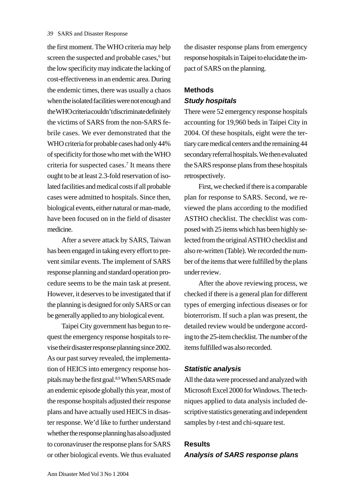the first moment. The WHO criteria may help screen the suspected and probable cases,<sup>6</sup> but the low specificity may indicate the lacking of cost-effectiveness in an endemic area. During the endemic times, there was usually a chaos when the isolated facilities were not enough and the WHO criteria couldn't discriminate definitely the victims of SARS from the non-SARS febrile cases. We ever demonstrated that the WHO criteria for probable cases had only 44% of specificity for those who met with the WHO criteria for suspected cases.7 It means there ought to be at least 2.3-fold reservation of isolated facilities and medical costs if all probable cases were admitted to hospitals. Since then, biological events, either natural or man-made, have been focused on in the field of disaster medicine.

After a severe attack by SARS, Taiwan has been engaged in taking every effort to prevent similar events. The implement of SARS response planning and standard operation procedure seems to be the main task at present. However, it deserves to be investigated that if the planning is designed for only SARS or can be generally applied to any biological event.

Taipei City government has begun to request the emergency response hospitals to revise their disaster response planning since 2002. As our past survey revealed, the implementation of HEICS into emergency response hospitals may be the first goal.8,9 When SARS made an endemic episode globally this year, most of the response hospitals adjusted their response plans and have actually used HEICS in disaster response. We'd like to further understand whether the response planning has also adjusted to coronaviruser the response plans for SARS or other biological events. We thus evaluated the disaster response plans from emergency response hospitals in Taipei to elucidate the impact of SARS on the planning.

### **Methods** *Study hospitals*

There were 52 emergency response hospitals accounting for 19,960 beds in Taipei City in 2004. Of these hospitals, eight were the tertiary care medical centers and the remaining 44 secondary referral hospitals. We then evaluated the SARS response plans from these hospitals retrospectively.

First, we checked if there is a comparable plan for response to SARS. Second, we reviewed the plans according to the modified ASTHO checklist. The checklist was composed with 25 items which has been highly selected from the original ASTHO checklist and also re-written (Table). We recorded the number of the items that were fulfilled by the plans under review.

After the above reviewing process, we checked if there is a general plan for different types of emerging infectious diseases or for bioterrorism. If such a plan was present, the detailed review would be undergone according to the 25-item checklist. The number of the items fulfilled was also recorded.

### *Statistic analysis*

All the data were processed and analyzed with Microsoft Excel 2000 for Windows. The techniques applied to data analysis included descriptive statistics generating and independent samples by *t*-test and chi-square test.

## **Results** *Analysis of SARS response plans*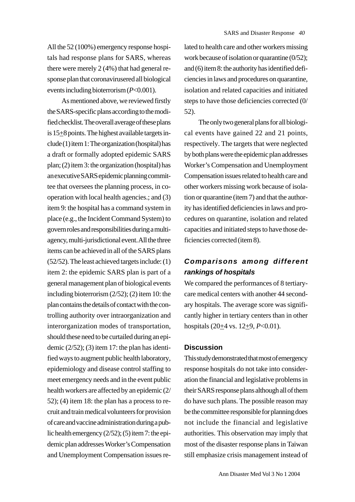All the 52 (100%) emergency response hospitals had response plans for SARS, whereas there were merely 2 (4%) that had general response plan that coronavirusered all biological events including bioterrorism (*P*<0.001).

As mentioned above, we reviewed firstly the SARS-specific plans according to the modified checklist. The overall average of these plans is  $15\pm8$  points. The highest available targets include (1) item 1: The organization (hospital) has a draft or formally adopted epidemic SARS plan; (2) item 3: the organization (hospital) has an executive SARS epidemic planning committee that oversees the planning process, in cooperation with local health agencies.; and (3) item 9: the hospital has a command system in place (e.g., the Incident Command System) to govern roles and responsibilities during a multiagency, multi-jurisdictional event. All the three items can be achieved in all of the SARS plans (52/52). The least achieved targets include: (1) item 2: the epidemic SARS plan is part of a general management plan of biological events including bioterrorism (2/52); (2) item 10: the plan contains the details of contact with the controlling authority over intraorganization and interorganization modes of transportation, should these need to be curtailed during an epidemic (2/52); (3) item 17: the plan has identified ways to augment public health laboratory, epidemiology and disease control staffing to meet emergency needs and in the event public health workers are affected by an epidemic (2/  $52$ ); (4) item 18: the plan has a process to recruit and train medical volunteers for provision of care and vaccine administration during a public health emergency (2/52); (5) item 7: the epidemic plan addresses Worker's Compensation and Unemployment Compensation issues related to health care and other workers missing work because of isolation or quarantine (0/52); and (6) item 8: the authority has identified deficiencies in laws and procedures on quarantine, isolation and related capacities and initiated steps to have those deficiencies corrected (0/ 52).

The only two general plans for all biological events have gained 22 and 21 points, respectively. The targets that were neglected by both plans were the epidemic plan addresses Worker's Compensation and Unemployment Compensation issues related to health care and other workers missing work because of isolation or quarantine (item 7) and that the authority has identified deficiencies in laws and procedures on quarantine, isolation and related capacities and initiated steps to have those deficiencies corrected (item 8).

## *Comparisons among different rankings of hospitals*

We compared the performances of 8 tertiarycare medical centers with another 44 secondary hospitals. The average score was significantly higher in tertiary centers than in other hospitals (20<sup>+4</sup> vs. 12<sup>+9</sup>, *P*<0.01).

#### **Discussion**

This study demonstrated that most of emergency response hospitals do not take into consideration the financial and legislative problems in their SARS response plans although all of them do have such plans. The possible reason may be the committee responsible for planning does not include the financial and legislative authorities. This observation may imply that most of the disaster response plans in Taiwan still emphasize crisis management instead of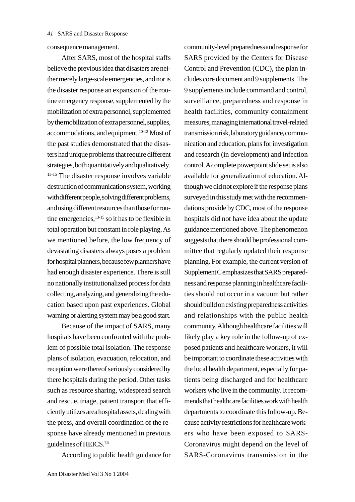consequence management.

After SARS, most of the hospital staffs believe the previous idea that disasters are neither merely large-scale emergencies, and nor is the disaster response an expansion of the routine emergency response, supplemented by the mobilization of extra personnel, supplemented by the mobilization of extra personnel, supplies, accommodations, and equipment.10-12 Most of the past studies demonstrated that the disasters had unique problems that require different strategies, both quantitatively and qualitatively. <sup>13-15</sup> The disaster response involves variable destruction of communication system, working with different people, solving different problems, and using different resources than those for routine emergencies,  $13-15$  so it has to be flexible in total operation but constant in role playing. As we mentioned before, the low frequency of devastating disasters always poses a problem for hospital planners, because few planners have had enough disaster experience. There is still no nationally institutionalized process for data collecting, analyzing, and generalizing the education based upon past experiences. Global warning or alerting system may be a good start.

Because of the impact of SARS, many hospitals have been confronted with the problem of possible total isolation. The response plans of isolation, evacuation, relocation, and reception were thereof seriously considered by there hospitals during the period. Other tasks such as resource sharing, widespread search and rescue, triage, patient transport that efficiently utilizes area hospital assets, dealing with the press, and overall coordination of the response have already mentioned in previous guidelines of HEICS.7,8

According to public health guidance for

community-level preparedness and response for SARS provided by the Centers for Disease Control and Prevention (CDC), the plan includes core document and 9 supplements. The 9 supplements include command and control, surveillance, preparedness and response in health facilities, community containment measures, managing international travel-related transmission risk, laboratory guidance, communication and education, plans for investigation and research (in development) and infection control. A complete powerpoint slide set is also available for generalization of education. Although we did not explore if the response plans surveyed in this study met with the recommendations provide by CDC, most of the response hospitals did not have idea about the update guidance mentioned above. The phenomenon suggests that there should be professional committee that regularly updated their response planning. For example, the current version of Supplement C emphasizes that SARS preparedness and response planning in healthcare facilities should not occur in a vacuum but rather should build on existing preparedness activities and relationships with the public health community. Although healthcare facilities will likely play a key role in the follow-up of exposed patients and healthcare workers, it will be important to coordinate these activities with the local health department, especially for patients being discharged and for healthcare workers who live in the community. It recommends that healthcare facilities work with health departments to coordinate this follow-up. Because activity restrictions for healthcare workers who have been exposed to SARS-Coronavirus might depend on the level of SARS-Coronavirus transmission in the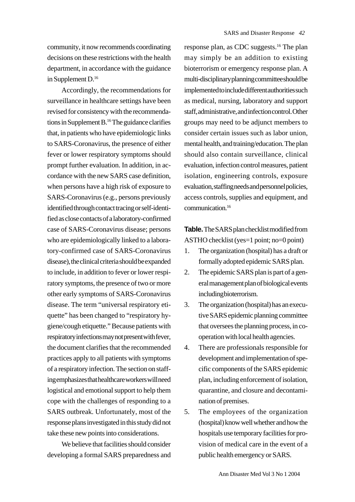community, it now recommends coordinating decisions on these restrictions with the health department, in accordance with the guidance in Supplement D.<sup>16</sup>

Accordingly, the recommendations for surveillance in healthcare settings have been revised for consistency with the recommendations in Supplement B.16 The guidance clarifies that, in patients who have epidemiologic links to SARS-Coronavirus, the presence of either fever or lower respiratory symptoms should prompt further evaluation. In addition, in accordance with the new SARS case definition, when persons have a high risk of exposure to SARS-Coronavirus (e.g., persons previously identified through contact tracing or self-identified as close contacts of a laboratory-confirmed case of SARS-Coronavirus disease; persons who are epidemiologically linked to a laboratory-confirmed case of SARS-Coronavirus disease), the clinical criteria should be expanded to include, in addition to fever or lower respiratory symptoms, the presence of two or more other early symptoms of SARS-Coronavirus disease. The term "universal respiratory etiquette" has been changed to "respiratory hygiene/cough etiquette." Because patients with respiratory infections may not present with fever, the document clarifies that the recommended practices apply to all patients with symptoms of a respiratory infection. The section on staffing emphasizes that healthcare workers will need logistical and emotional support to help them cope with the challenges of responding to a SARS outbreak. Unfortunately, most of the response plans investigated in this study did not take these new points into considerations.

We believe that facilities should consider developing a formal SARS preparedness and response plan, as CDC suggests.16 The plan may simply be an addition to existing bioterrorism or emergency response plan. A multi-disciplinary planning committee should be implemented to include different authorities such as medical, nursing, laboratory and support staff, administrative, and infection control. Other groups may need to be adjunct members to consider certain issues such as labor union, mental health, and training/education. The plan should also contain surveillance, clinical evaluation, infection control measures, patient isolation, engineering controls, exposure evaluation, staffing needs and personnel policies, access controls, supplies and equipment, and communication.16

**Table.**The SARS plan checklist modified from ASTHO checklist (yes=1 point; no=0 point)

- 1. The organization (hospital) has a draft or formally adopted epidemic SARS plan.
- 2. The epidemic SARS plan is part of a general management plan of biological events including bioterrorism.
- 3. The organization (hospital) has an executive SARS epidemic planning committee that oversees the planning process, in cooperation with local health agencies.
- 4. There are professionals responsible for development and implementation of specific components of the SARS epidemic plan, including enforcement of isolation, quarantine, and closure and decontamination of premises.
- 5. The employees of the organization (hospital) know well whether and how the hospitals use temporary facilities for provision of medical care in the event of a public health emergency or SARS.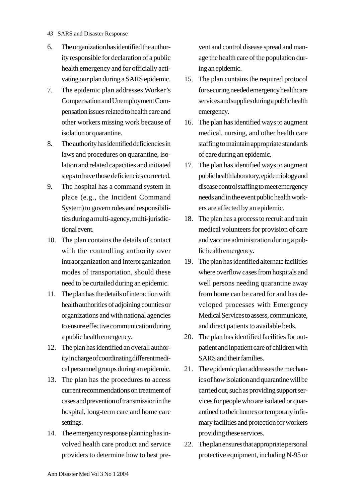- *43* SARS and Disaster Response
- 6. The organization has identified the authority responsible for declaration of a public health emergency and for officially activating our plan during a SARS epidemic.
- 7. The epidemic plan addresses Worker's Compensation and Unemployment Compensation issues related to health care and other workers missing work because of isolation or quarantine.
- 8. The authority has identified deficiencies in laws and procedures on quarantine, isolation and related capacities and initiated steps to have those deficiencies corrected.
- 9. The hospital has a command system in place (e.g., the Incident Command System) to govern roles and responsibilities during a multi-agency, multi-jurisdictional event.
- 10. The plan contains the details of contact with the controlling authority over intraorganization and interorganization modes of transportation, should these need to be curtailed during an epidemic.
- 11. The plan has the details of interaction with health authorities of adjoining counties or organizations and with national agencies to ensure effective communication during a public health emergency.
- 12. The plan has identified an overall authority in charge of coordinating different medical personnel groups during an epidemic.
- 13. The plan has the procedures to access current recommendations on treatment of cases and prevention of transmission in the hospital, long-term care and home care settings.
- 14. The emergency response planning has involved health care product and service providers to determine how to best pre-

vent and control disease spread and manage the health care of the population during an epidemic.

- 15. The plan contains the required protocol for securing needed emergency healthcare services and supplies during a public health emergency.
- 16. The plan has identified ways to augment medical, nursing, and other health care staffing to maintain appropriate standards of care during an epidemic.
- 17. The plan has identified ways to augment public health laboratory, epidemiology and disease control staffing to meet emergency needs and in the event public health workers are affected by an epidemic.
- 18. The plan has a process to recruit and train medical volunteers for provision of care and vaccine administration during a public health emergency.
- 19. The plan has identified alternate facilities where overflow cases from hospitals and well persons needing quarantine away from home can be cared for and has developed processes with Emergency Medical Services to assess, communicate, and direct patients to available beds.
- 20. The plan has identified facilities for outpatient and inpatient care of children with SARS and their families.
- 21. The epidemic plan addresses the mechanics of how isolation and quarantine will be carried out, such as providing support services for people who are isolated or quarantined to their homes or temporary infirmary facilities and protection for workers providing these services.
- 22. The plan ensures that appropriate personal protective equipment, including N-95 or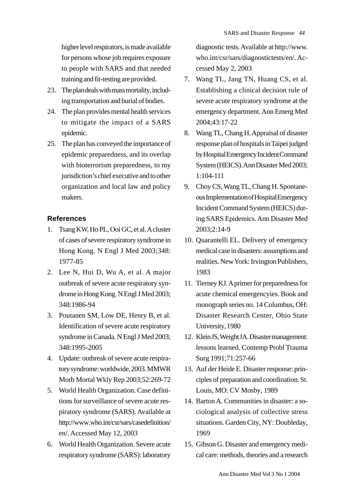higher level respirators, is made available for persons whose job requires exposure to people with SARS and that needed training and fit-testing are provided.

- 23. The plan deals with mass mortality, including transportation and burial of bodies.
- 24. The plan provides mental health services to mitigate the impact of a SARS epidemic.
- 25. The plan has conveyed the importance of epidemic preparedness, and its overlap with bioterrorism preparedness, to my jurisdiction's chief executive and to other organization and local law and policy makers.

### **References**

- 1. Tsang KW, Ho PL, Ooi GC, et al. A cluster of cases of severe respiratory syndrome in Hong Kong. N Engl J Med 2003;348: 1977-85
- 2. Lee N, Hui D, Wu A, et al. A major outbreak of severe acute respiratory syndrome in Hong Kong. N Engl J Med 2003; 348:1986-94
- 3. Poutanen SM, Low DE, Henry B, et al. Identification of severe acute respiratory syndrome in Canada. N Engl J Med 2003; 348:1995-2005
- 4. Update: outbreak of severe acute respiratory syndrome: worldwide, 2003. MMWR Morb Mortal Wkly Rep 2003;52:269-72
- 5. World Health Organization. Case definitions for surveillance of severe acute respiratory syndrome (SARS). Available at http://www.who.int/csr/sars/casedefinition/ en/. Accessed May 12, 2003
- 6. World Health Organization. Severe acute respiratory syndrome (SARS): laboratory

diagnostic tests. Available at http://www. who.int/csr/sars/diagnostictests/en/. Accessed May 2, 2003

- 7. Wang TL, Jang TN, Huang CS, et al. Establishing a clinical decision rule of severe acute respiratory syndrome at the emergency department. Ann Emerg Med 2004;43:17-22
- 8. Wang TL, Chang H. Appraisal of disaster response plan of hospitals in Taipei judged by Hospital Emergency Incident Command System (HEICS). Ann Disaster Med 2003; 1:104-111
- 9. Choy CS, Wang TL, Chang H. Spontaneous Implementation of Hospital Emergency Incident Command System (HEICS) during SARS Epidemics. Ann Disaster Med 2003;2:14-9
- 10. Quarantelli EL. Delivery of emergency medical case in disasters: assumptions and realities. New York: Irvington Publishers, 1983
- 11. Tierney KJ. A primer for preparedness for acute chemical emergencyies. Book and monograph series no. 14 Columbus, OH: Disaster Research Center, Ohio State University, 1980
- 12. Klein JS, Weight JA. Disaster management: lessons learned. Contemp Probl Trauma Surg 1991;71:257-66
- 13. Auf der Heide E. Disaster response: principles of preparation and coordination. St. Louis, MO: CV Mosby, 1989
- 14. Barton A. Communities in disaster: a sociological analysis of collective stress situations. Garden City, NY: Doubleday, 1969
- 15. Gibson G. Disaster and emergency medical care: methods, theories and a research